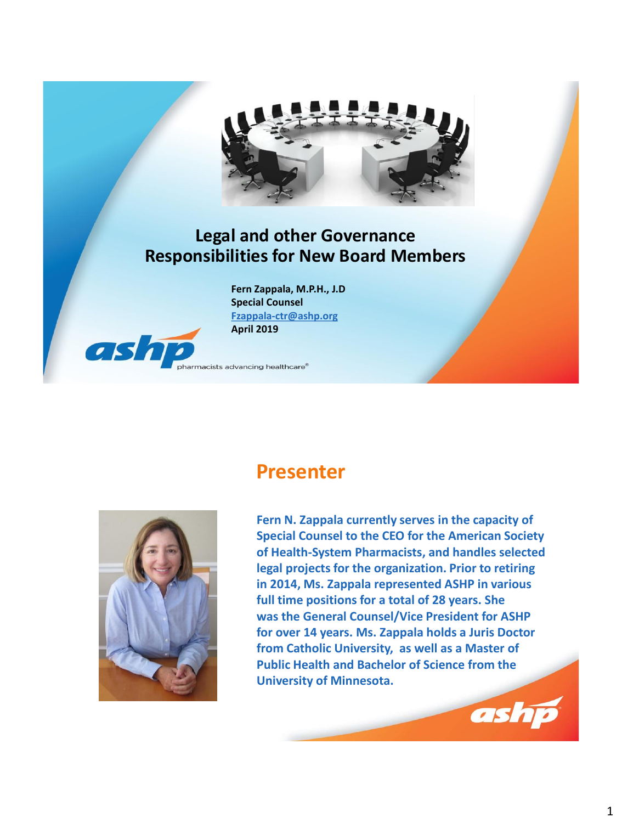

#### **Legal and other Governance Responsibilities for New Board Members**

**Fern Zappala, M.P.H., J.D Special Counsel [Fzappala-ctr@ashp.org](mailto:Fzappala-ctr@ashp.org) April 2019**

macists advancing healthcare®

#### **Presenter**



ash

**Fern N. Zappala currently serves in the capacity of Special Counsel to the CEO for the American Society of Health-System Pharmacists, and handles selected legal projects for the organization. Prior to retiring in 2014, Ms. Zappala represented ASHP in various full time positions for a total of 28 years. She was the General Counsel/Vice President for ASHP for over 14 years. Ms. Zappala holds a Juris Doctor from Catholic University, as well as a Master of Public Health and Bachelor of Science from the University of Minnesota.** 

ashp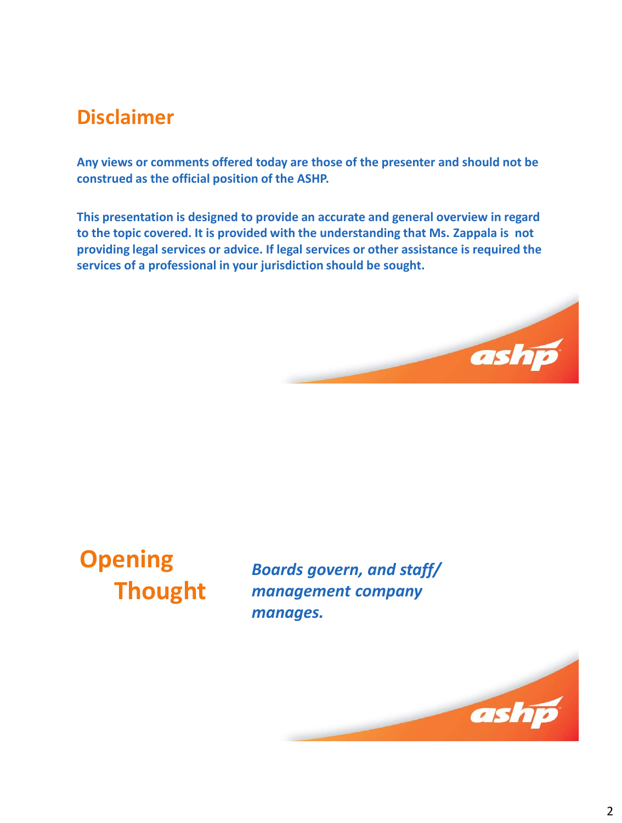# **Disclaimer**

**Any views or comments offered today are those of the presenter and should not be construed as the official position of the ASHP.** 

**This presentation is designed to provide an accurate and general overview in regard to the topic covered. It is provided with the understanding that Ms. Zappala is not providing legal services or advice. If legal services or other assistance is required the services of a professional in your jurisdiction should be sought.**





*Boards govern, and staff/ management company manages.*

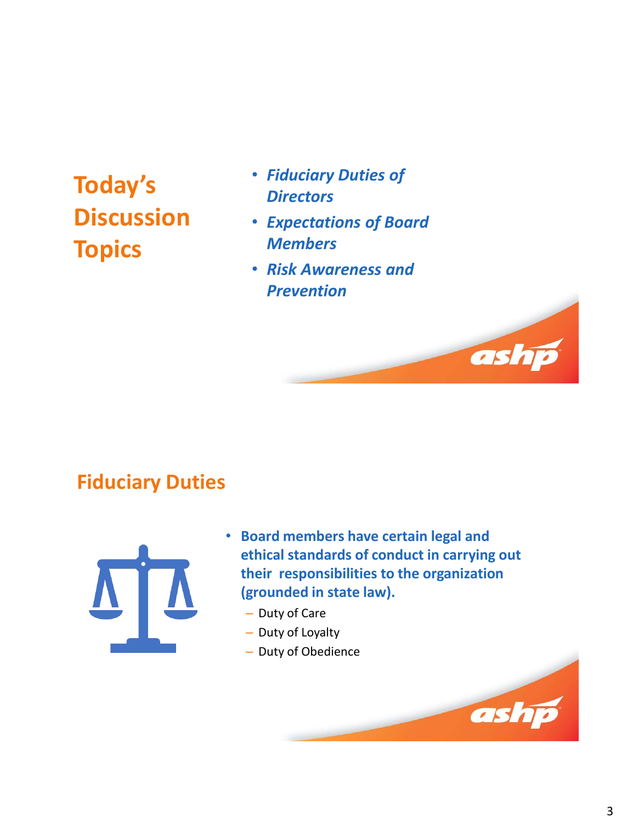# **Today's Discussion Topics**

- *Fiduciary Duties of Directors*
- *Expectations of Board Members*
- *Risk Awareness and Prevention*

# **Fiduciary Duties**



- **Board members have certain legal and ethical standards of conduct in carrying out their responsibilities to the organization (grounded in state law).**
	- Duty of Care
	- Duty of Loyalty
	- Duty of Obedience



ash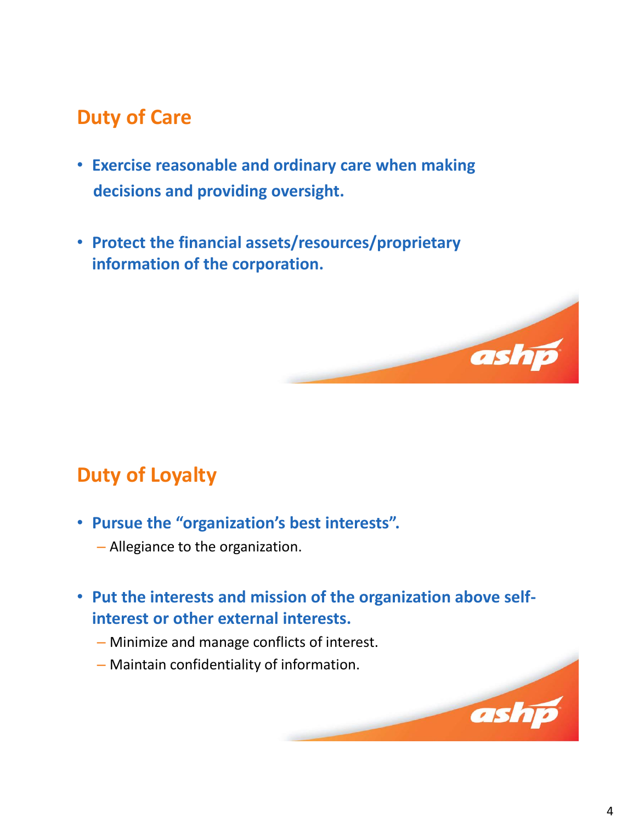# **Duty of Care**

- **Exercise reasonable and ordinary care when making decisions and providing oversight.**
- **Protect the financial assets/resources/proprietary information of the corporation.**

# **Duty of Loyalty**

- **Pursue the "organization's best interests".** 
	- Allegiance to the organization.

#### • **Put the interests and mission of the organization above selfinterest or other external interests.**

- Minimize and manage conflicts of interest.
- Maintain confidentiality of information.

ashp

ashp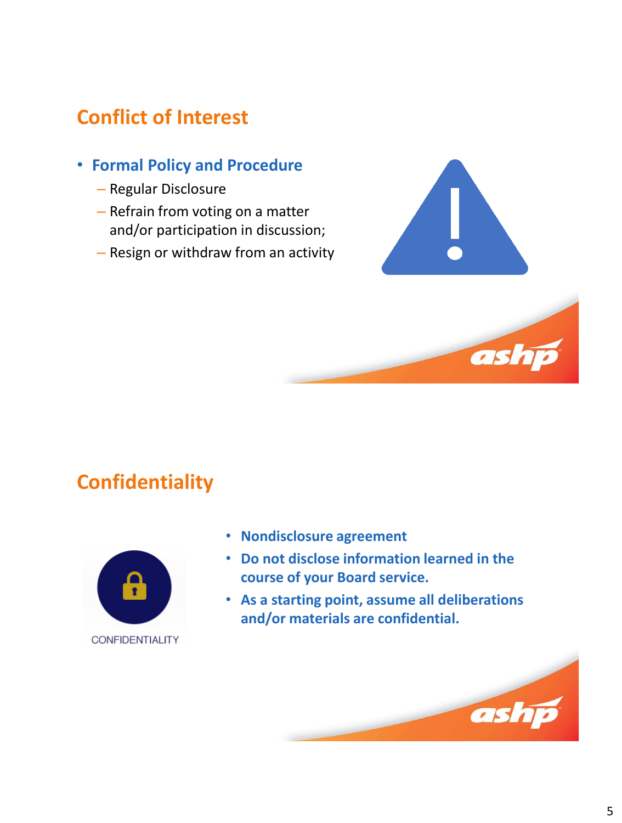# **Conflict of Interest**

- **Formal Policy and Procedure**
	- Regular Disclosure
	- Refrain from voting on a matter and/or participation in discussion;
	- Resign or withdraw from an activity



ashi

# **Confidentiality**



- **Nondisclosure agreement**
- **Do not disclose information learned in the course of your Board service.**
- **As a starting point, assume all deliberations and/or materials are confidential.**

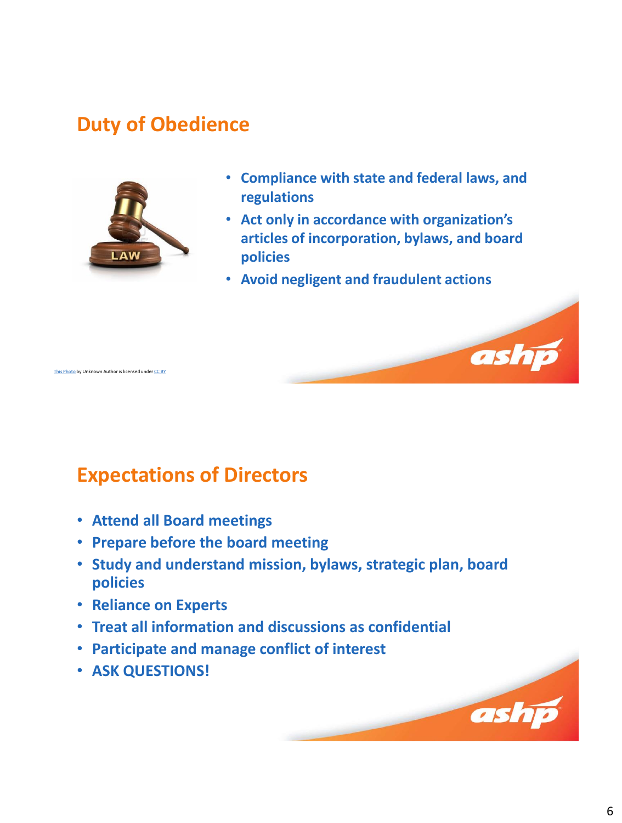# **Duty of Obedience**



is Photo by Unknown Author is licensed under [CC BY](https://creativecommons.org/licenses/by/3.0/)

- **Compliance with state and federal laws, and regulations**
- **Act only in accordance with organization's articles of incorporation, bylaws, and board policies**

ashp

ashp

• **Avoid negligent and fraudulent actions**

# **Expectations of Directors**

- **Attend all Board meetings**
- **Prepare before the board meeting**
- **Study and understand mission, bylaws, strategic plan, board policies**
- **Reliance on Experts**
- **Treat all information and discussions as confidential**
- **Participate and manage conflict of interest**
- **ASK QUESTIONS!**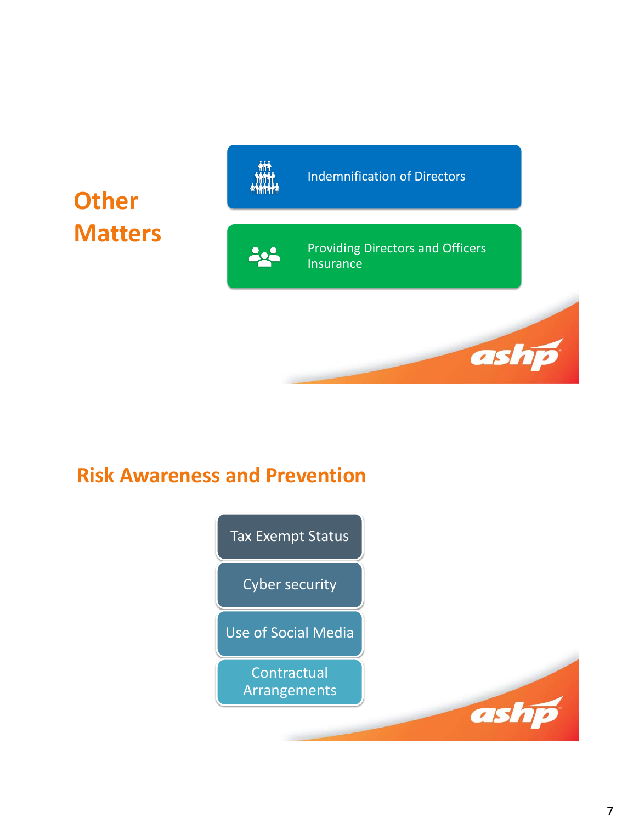

# **Risk Awareness and Prevention**

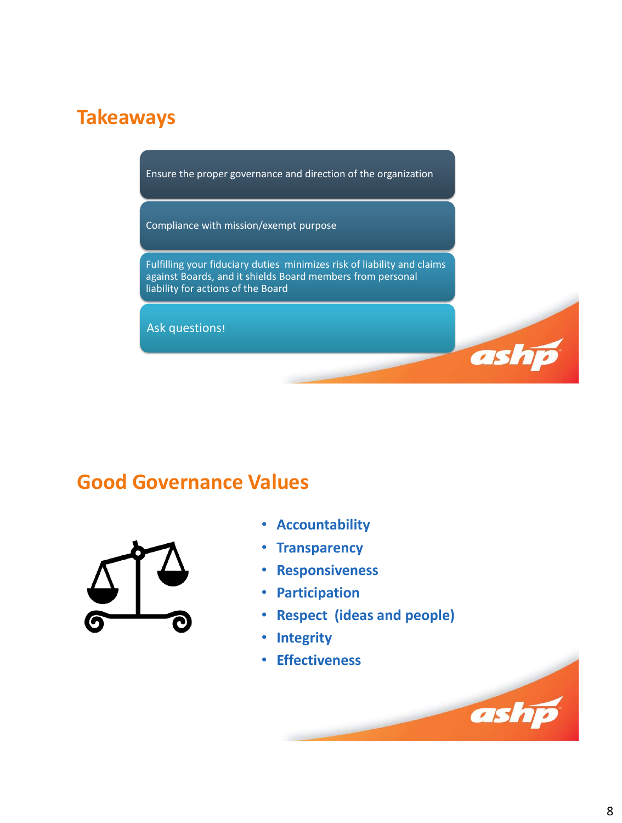# **Takeaways**

Ensure the proper governance and direction of the organization

Compliance with mission/exempt purpose

Fulfilling your fiduciary duties minimizes risk of liability and claims against Boards, and it shields Board members from personal liability for actions of the Board

Ask questions!

### **Good Governance Values**



- **Accountability**
- **Transparency**
- **Responsiveness**
- **Participation**
- **Respect (ideas and people)**
- **Integrity**
- **Effectiveness**

ashp

ashp